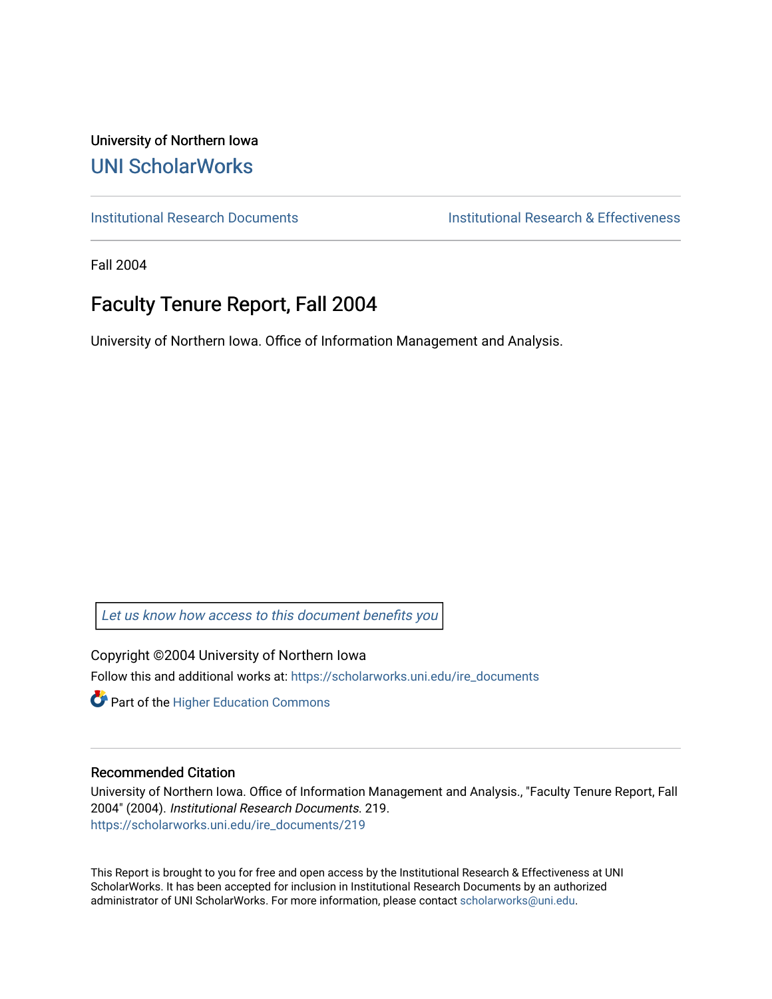University of Northern Iowa [UNI ScholarWorks](https://scholarworks.uni.edu/) 

[Institutional Research Documents](https://scholarworks.uni.edu/ire_documents) [Institutional Research & Effectiveness](https://scholarworks.uni.edu/ire) 

Fall 2004

# Faculty Tenure Report, Fall 2004

University of Northern Iowa. Office of Information Management and Analysis.

[Let us know how access to this document benefits you](https://scholarworks.uni.edu/feedback_form.html) 

Copyright ©2004 University of Northern Iowa Follow this and additional works at: [https://scholarworks.uni.edu/ire\\_documents](https://scholarworks.uni.edu/ire_documents?utm_source=scholarworks.uni.edu%2Fire_documents%2F219&utm_medium=PDF&utm_campaign=PDFCoverPages) 

**Part of the Higher Education Commons** 

#### Recommended Citation

University of Northern Iowa. Office of Information Management and Analysis., "Faculty Tenure Report, Fall 2004" (2004). Institutional Research Documents. 219. [https://scholarworks.uni.edu/ire\\_documents/219](https://scholarworks.uni.edu/ire_documents/219?utm_source=scholarworks.uni.edu%2Fire_documents%2F219&utm_medium=PDF&utm_campaign=PDFCoverPages) 

This Report is brought to you for free and open access by the Institutional Research & Effectiveness at UNI ScholarWorks. It has been accepted for inclusion in Institutional Research Documents by an authorized administrator of UNI ScholarWorks. For more information, please contact [scholarworks@uni.edu](mailto:scholarworks@uni.edu).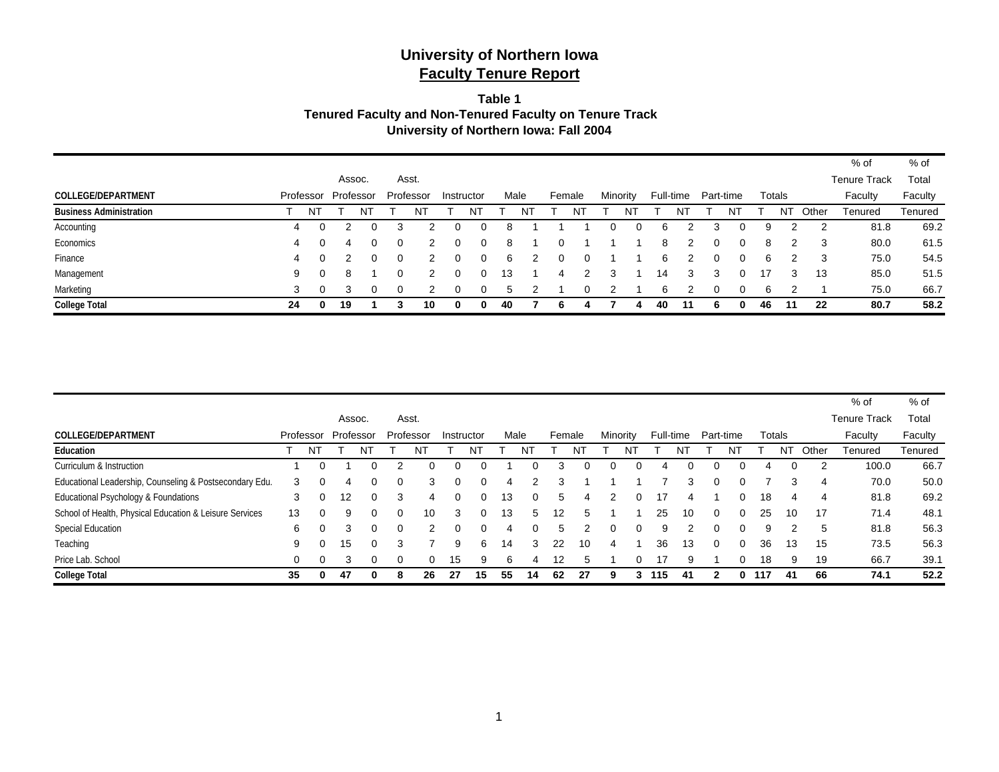#### **Table 1 Tenured Faculty and Non-Tenured Faculty on Tenure Track University of Northern Iowa: Fall 2004**

|                                |           |    |        |           |   |           |   |            |      |        |          |          |    |    |           |           |   |        |               |       | % of                | $%$ of  |
|--------------------------------|-----------|----|--------|-----------|---|-----------|---|------------|------|--------|----------|----------|----|----|-----------|-----------|---|--------|---------------|-------|---------------------|---------|
|                                |           |    | Assoc. |           |   | Asst.     |   |            |      |        |          |          |    |    |           |           |   |        |               |       | <b>Tenure Track</b> | Total   |
| <b>COLLEGE/DEPARTMENT</b>      | Professor |    |        | Professor |   | Professor |   | Instructor | Male | Female |          | Minority |    |    | Full-time | Part-time |   | Totals |               |       | Faculty             | Faculty |
| <b>Business Administration</b> |           | NT |        |           |   |           |   | N٦         |      |        | N        |          | N٦ |    |           |           | N |        | N٦            | Other | Tenured             | Tenured |
| Accounting                     | 4         |    |        | 0         | 3 |           | 0 |            | 8    |        |          | 0        |    | 6  |           | 3         | 0 | 9      | າ             | 2     | 81.8                | 69.2    |
| Economics                      | 4         |    | 4      | 0.        |   |           | 0 |            | 8    |        |          |          |    | 8  |           | 0         | 0 | 8      | $\mathcal{P}$ | -3    | 80.0                | 61.5    |
| Finance                        | 4         |    |        | 0         |   |           | 0 |            | 6    |        | $\Omega$ |          |    | 6  |           |           |   | 6      | ົ             | -3    | 75.0                | 54.5    |
| Management                     | 9         |    | 8      |           |   |           | Ω |            | 13   |        |          |          |    | 14 | 3         | 3         |   |        | 3             | 13    | 85.0                | 51.5    |
| Marketing                      | 3         |    |        | 0         |   |           |   |            |      |        |          |          |    | 6  |           |           |   | 6      |               |       | 75.0                | 66.7    |
| <b>College Total</b>           | 24        |    | 19     |           |   | 10        | 0 | 0          | 40   | b      |          |          |    | 40 | 11        | b         | 0 | 46     | 11            | 22    | 80.7                | 58.2    |

|                                                         |          |           |    |           |          |              |           |            |          |    |      |        |    |              |          |     |           |           |    |     |        |       | $%$ of              | % of    |
|---------------------------------------------------------|----------|-----------|----|-----------|----------|--------------|-----------|------------|----------|----|------|--------|----|--------------|----------|-----|-----------|-----------|----|-----|--------|-------|---------------------|---------|
|                                                         |          |           |    | Assoc.    |          |              | Asst.     |            |          |    |      |        |    |              |          |     |           |           |    |     |        |       | <b>Tenure Track</b> | Total   |
| <b>COLLEGE/DEPARTMENT</b>                               |          | Professor |    | Professor |          |              | Professor | Instructor |          |    | Male | Female |    | Minority     |          |     | Full-time | Part-time |    |     | Totals |       | Faculty             | Faculty |
| Education                                               |          | NT        |    |           | NΤ       |              | N1        |            | N        |    |      |        | Νl |              |          |     |           |           | N1 |     | NĪ     | Other | Tenured             | Tenured |
| Curriculum & Instruction                                |          | 0         |    |           |          |              |           |            |          |    | O    | 3      |    | $\mathbf{0}$ |          |     |           |           |    |     |        |       | 100.0               | 66.7    |
| Educational Leadership, Counseling & Postsecondary Edu. | 3        | 0         |    |           |          | <sup>0</sup> | З         | O          | ∩        | 4  | 2    | 3      |    |              |          |     | з         | $\Omega$  |    |     |        | 4     | 70.0                | 50.0    |
| Educational Psychology & Foundations                    | 3        | $\Omega$  |    | 12        | 0        | 3            | 4         | 0          | $\Omega$ | 13 | 0    | 5      |    |              | 0        | 17  | 4         |           | 0  | 18  | 4      | 4     | 81.8                | 69.2    |
| School of Health, Physical Education & Leisure Services | 13       | $\Omega$  |    | 9         | 0        | $\Omega$     | 10        | 3          | $\Omega$ | 13 | 5    | 12     | 5  |              |          | 25  | 10        | $\Omega$  | 0  | 25  | 10     | 17    | 71.4                | 48.1    |
| <b>Special Education</b>                                | 6        | $\Omega$  |    |           | 0        | $\Omega$     |           | 0          | $\Omega$ | 4  | 0    | 5.     |    | 0            | $\Omega$ | g   |           | $\Omega$  | 0  | 9   |        | 5     | 81.8                | 56.3    |
| Teaching                                                | 9        | $\Omega$  |    | 15        | $\Omega$ | 3            |           | 9          | 6        | 14 | 3    | 22     | 10 | 4            |          | 36  | 13        | $\Omega$  | 0  | 36  | 13     | 15    | 73.5                | 56.3    |
| Price Lab. School                                       | $\Omega$ | $\Omega$  |    |           | 0        | $\Omega$     |           | 15         | 9        | ี  | 4    | 12     |    |              | 0        |     | 9         |           |    | 18  | 9      | 19    | 66.7                | 39.1    |
| <b>College Total</b>                                    | 35       | 0         | 47 |           | 0        | 8            | 26        | 27         | 15       | 55 | 14   | 62     | 27 | 9            | 3        | 115 | 41        |           | 0  | 117 | 41     | 66    | 74.1                | 52.2    |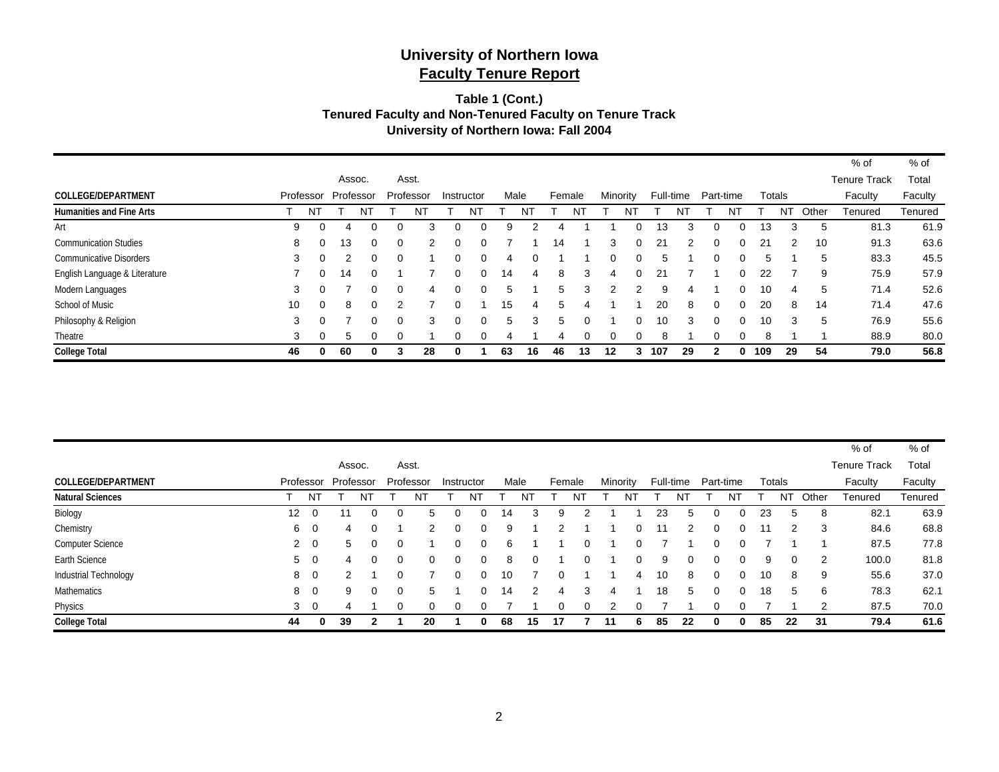#### **Table 1 (Cont.) Tenured Faculty and Non-Tenured Faculty on Tenure Track University of Northern Iowa: Fall 2004**

|                                 |           |          |           |          |          |           |   |            |      |    |        |          |          |          |           |    |           |          |     |        |       | % of                | % of    |
|---------------------------------|-----------|----------|-----------|----------|----------|-----------|---|------------|------|----|--------|----------|----------|----------|-----------|----|-----------|----------|-----|--------|-------|---------------------|---------|
|                                 |           |          | Assoc.    |          |          | Asst.     |   |            |      |    |        |          |          |          |           |    |           |          |     |        |       | <b>Tenure Track</b> | Total   |
| <b>COLLEGE/DEPARTMENT</b>       | Professor |          | Professor |          |          | Professor |   | Instructor | Male |    | Female |          | Minority |          | Full-time |    | Part-time |          |     | Totals |       | Faculty             | Faculty |
| <b>Humanities and Fine Arts</b> |           | N1       |           | N        |          | N1        |   | N          |      | N  |        |          |          | N.       |           | N  |           | NT       |     | N1     | Other | Tenured             | Tenured |
| Art                             | 9         | $\Omega$ | 4         | 0        | $\Omega$ | 3         | 0 | $\Omega$   | 9    |    |        |          |          | 0        | 13        | 3  |           |          | 13  | з      | 5     | 81.3                | 61.9    |
| <b>Communication Studies</b>    | 8         | $\Omega$ | 13        | $\Omega$ | $\Omega$ | 2         | 0 | $\Omega$   |      |    | 14     |          | 3        | $\Omega$ | 21        | 2  | $\Omega$  | $\Omega$ | 21  | 2      | 10    | 91.3                | 63.6    |
| <b>Communicative Disorders</b>  | 3         | $\Omega$ |           | 0        | $\Omega$ |           | ი | 0          | 4    | 0  |        |          | 0        | 0        | :5        |    | O         |          | 5   |        | 5     | 83.3                | 45.5    |
| English Language & Literature   |           | $\Omega$ | 14        | 0        |          |           | 0 | $\Omega$   | 14   | 4  | 8      | 3        | 4        | $\Omega$ | 21        |    |           |          | 22  |        | 9     | 75.9                | 57.9    |
| Modern Languages                | 3         | $\Omega$ |           | 0        | $\Omega$ | 4         | O | 0          | 5    |    | 5      | 3        |          |          | 9         | Δ  |           |          | 10  | 4      | 5     | 71.4                | 52.6    |
| School of Music                 | 10        | $\Omega$ | 8         | 0        | າ        |           |   |            | 15   | 4  | 5      |          |          |          | 20        | 8  | $\Omega$  |          | 20  | 8      | 14    | 71.4                | 47.6    |
| Philosophy & Religion           | 3         | $\Omega$ |           | 0        | $\Omega$ | 3         | ი | $\Omega$   | 5    | 3  | 5      |          |          | 0        | 10        | 3  | $\Omega$  |          | 10  | 3      | 5     | 76.9                | 55.6    |
| Theatre                         | 3         | $\Omega$ | 5         | $\Omega$ | $\Omega$ |           | 0 | $\Omega$   | 4    |    | 4      | $\Omega$ | $\Omega$ | 0        | 8         |    | ∩         | $\Omega$ | 8   |        |       | 88.9                | 80.0    |
| <b>College Total</b>            | 46        | 0        | 60        | 0        | 3        | 28        | 0 |            | 63   | 16 | 46     | 13       | 12       | 3        | 107       | 29 |           |          | 109 | 29     | 54    | 79.0                | 56.8    |

|                           |    |                |           |        |          |               |            |    |      |          |   |    |          |    |           |           |   |    |                |                | $%$ of              | $%$ of  |
|---------------------------|----|----------------|-----------|--------|----------|---------------|------------|----|------|----------|---|----|----------|----|-----------|-----------|---|----|----------------|----------------|---------------------|---------|
|                           |    |                |           | Assoc. |          | Asst.         |            |    |      |          |   |    |          |    |           |           |   |    |                |                | <b>Tenure Track</b> | Total   |
| <b>COLLEGE/DEPARTMENT</b> |    | Professor      | Professor |        |          | Professor     | Instructor |    | Male | Female   |   |    | Minority |    | Full-time | Part-time |   |    | Totals         |                | Faculty             | Faculty |
| <b>Natural Sciences</b>   |    | ΝT             |           | N1     |          | N             | N٦         |    |      |          | N |    |          |    |           |           | N |    | N <sub>1</sub> | Other          | Tenured             | Tenured |
| Biology                   | 12 | $\Omega$       | 11        |        |          |               | 0          | 14 | 3    | 9        |   |    |          | 23 | 5         |           |   | 23 | 5              | 8              | 82.1                | 63.9    |
| Chemistry                 | 6  | $\overline{0}$ | 4         |        |          |               | $\Omega$   | 9  |      | 2        |   |    | 0        | 11 | 2         | 0         |   | 11 | 2              | 3              | 84.6                | 68.8    |
| <b>Computer Science</b>   |    | $2 \quad 0$    | 5         | 0      | $\Omega$ |               | 0          | 6  |      |          |   |    | 0        |    |           | 0         |   |    |                |                | 87.5                | 77.8    |
| Earth Science             | 5  | - 0            | 4         | 0      | $\Omega$ |               | $\Omega$   | 8  |      |          |   |    | 0        | 9  |           | $\Omega$  |   | 9  | $\Omega$       | 2              | 100.0               | 81.8    |
| Industrial Technology     | 8  | - 0            |           |        | 0        |               | $\Omega$   | 10 |      | $\Omega$ |   |    | -4       | 10 | 8         | $\Omega$  |   | 10 | 8              | 9              | 55.6                | 37.0    |
| Mathematics               | 8  | $\overline{0}$ | 9         | 0      | 0        | $\mathcal{D}$ | $\Omega$   | 14 | 2    | 4        |   |    |          | 18 | 5         | 0         |   | 18 | 5              | 6              | 78.3                | 62.1    |
| Physics                   | 3  | $\overline{0}$ |           |        |          |               | $\Omega$   |    |      | 0        |   |    |          |    |           |           |   |    |                | $\overline{2}$ | 87.5                | 70.0    |
| <b>College Total</b>      | 44 | 0              | 39        | 2      |          | 20            | 0          | 68 | 15   | 17       |   | 11 | 6        | 85 | 22        | 0         |   | 85 | 22             | -31            | 79.4                | 61.6    |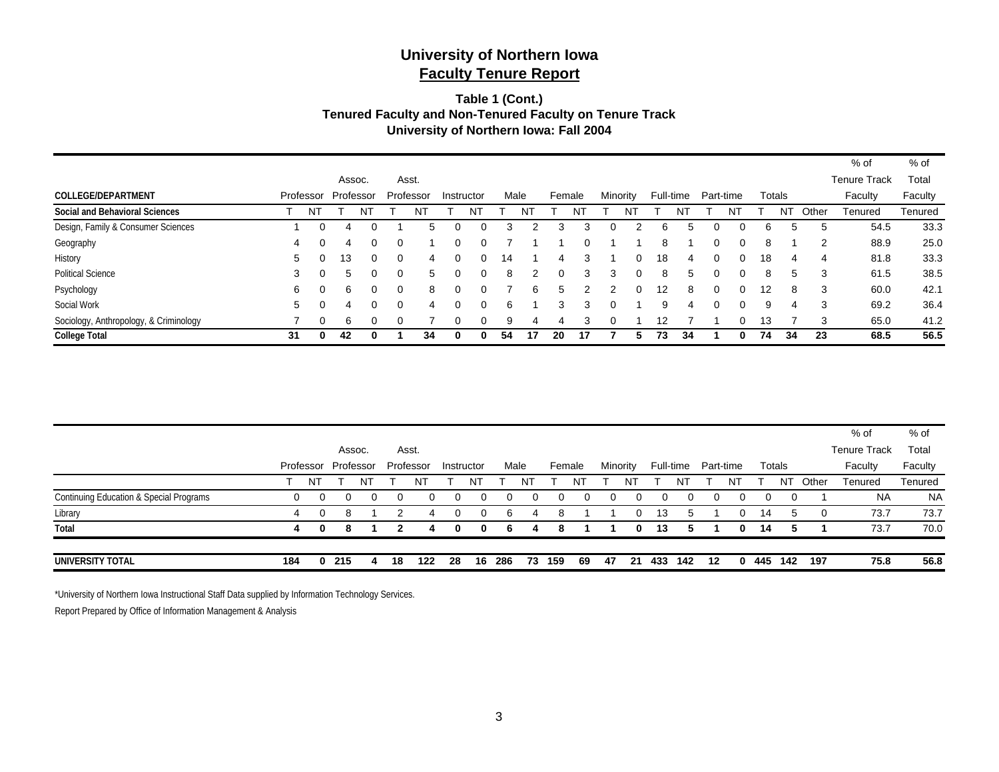#### **Table 1 (Cont.) Tenured Faculty and Non-Tenured Faculty on Tenure Track University of Northern Iowa: Fall 2004**

|                                        |    |           |           |   |          |           |   |            |    |      |        |    |          |          |    |           |           |   |    |        |       | % of                | % of    |
|----------------------------------------|----|-----------|-----------|---|----------|-----------|---|------------|----|------|--------|----|----------|----------|----|-----------|-----------|---|----|--------|-------|---------------------|---------|
|                                        |    |           | Assoc.    |   |          | Asst.     |   |            |    |      |        |    |          |          |    |           |           |   |    |        |       | <b>Tenure Track</b> | Total   |
| <b>COLLEGE/DEPARTMENT</b>              |    | Professor | Professor |   |          | Professor |   | Instructor |    | Male | Female |    | Minority |          |    | Full-time | Part-time |   |    | Totals |       | Faculty             | Faculty |
| <b>Social and Behavioral Sciences</b>  |    | N         |           | N |          | N         |   | N          |    | N    |        |    |          | N        |    |           |           |   |    | N1     | Other | Tenured             | Tenured |
| Design, Family & Consumer Sciences     |    | 0         | 4         |   |          |           | 0 | 0          | з  |      | 3      | з  | 0        |          | 6  | h         |           |   | 6. | 5      | 5     | 54.5                | 33.3    |
| Geography                              | 4  | ∩         | 4         | 0 | 0        |           | o |            |    |      |        |    |          |          | 8  |           | ∩         |   | 8  |        | 2     | 88.9                | 25.0    |
| History                                | 5  |           | 13        | 0 | $\Omega$ | 4         | 0 | $\Omega$   | 14 |      | 4      |    |          | 0        | 18 | 4         | $\Omega$  |   | 18 | 4      | 4     | 81.8                | 33.3    |
| <b>Political Science</b>               | 3  |           | 5         |   | ∩        | 5         |   | $\Omega$   | 8  | 2    | ∩      | 3  |          | $\Omega$ | 8  | 5         |           |   | 8  | 5      | 3     | 61.5                | 38.5    |
| Psychology                             | 6  | $\Omega$  | 6         | 0 | $\Omega$ | 8         | n |            |    | 6    | 5      |    |          | $\Omega$ | 12 | 8         | ∩         |   | 12 | 8      | 3     | 60.0                | 42.1    |
| Social Work                            | 5  |           | 4         |   | $\Omega$ | 4         |   | 0          | 6  |      | 3      | 3  | 0        |          | 9  | 4         | ∩         | 0 | 9  | 4      | 3     | 69.2                | 36.4    |
| Sociology, Anthropology, & Criminology |    | 0         | 6         |   |          |           |   | 0          | 9  |      |        |    |          |          | 12 |           |           |   | 13 |        | 3     | 65.0                | 41.2    |
| <b>College Total</b>                   | 31 | 0         | 42        |   |          | 34        |   | 0          | 54 | 17   | 20     | 17 |          |          | 73 | 34        |           |   | 74 | 34     | 23    | 68.5                | 56.5    |

|                                                    |     |           |           |   |    |           |    |            |     |      |        |    |    |          |     |           |           |    |     |        |       | $%$ of              | % of      |
|----------------------------------------------------|-----|-----------|-----------|---|----|-----------|----|------------|-----|------|--------|----|----|----------|-----|-----------|-----------|----|-----|--------|-------|---------------------|-----------|
|                                                    |     |           | Assoc.    |   |    | Asst.     |    |            |     |      |        |    |    |          |     |           |           |    |     |        |       | <b>Tenure Track</b> | Total     |
|                                                    |     | Professor | Professor |   |    | Professor |    | Instructor |     | Male | Female |    |    | Minority |     | Full-time | Part-time |    |     | Totals |       | Faculty             | Faculty   |
|                                                    |     | N1        |           | N |    | N.        |    | Νī         |     | NT   |        |    |    | NT       |     | N         |           | N٦ |     | NT     | Other | Tenured             | Tenured   |
| <b>Continuing Education &amp; Special Programs</b> | 0   | 0         |           |   | 0  | $\Omega$  |    |            |     |      |        |    |    |          |     |           |           | 0  |     |        |       | <b>NA</b>           | <b>NA</b> |
| Library                                            | 4   | 0         | 8         |   |    | 4         |    | 0          | 6   |      | 8      |    |    |          | 13  |           |           | 0  | 14  | 5      | 0     | 73.7                | 73.7      |
| Total                                              | 4   | 0         | 8         |   |    |           |    | 0          | 6   |      | 8      |    |    | 0        | 13  |           |           | 0  | 14  | 5      |       | 73.7                | 70.0      |
|                                                    |     |           |           |   |    |           |    |            |     |      |        |    |    |          |     |           |           |    |     |        |       |                     |           |
| UNIVERSITY TOTAL                                   | 184 |           | 0215      |   | 18 | 122       | 28 | 16.        | 286 | 73.  | 159    | 69 | 47 | 21       | 433 | 142       | 12        | 0  | 445 | 142    | 197   | 75.8                | 56.8      |

\*University of Northern Iowa Instructional Staff Data supplied by Information Technology Services.

Report Prepared by Office of Information Management & Analysis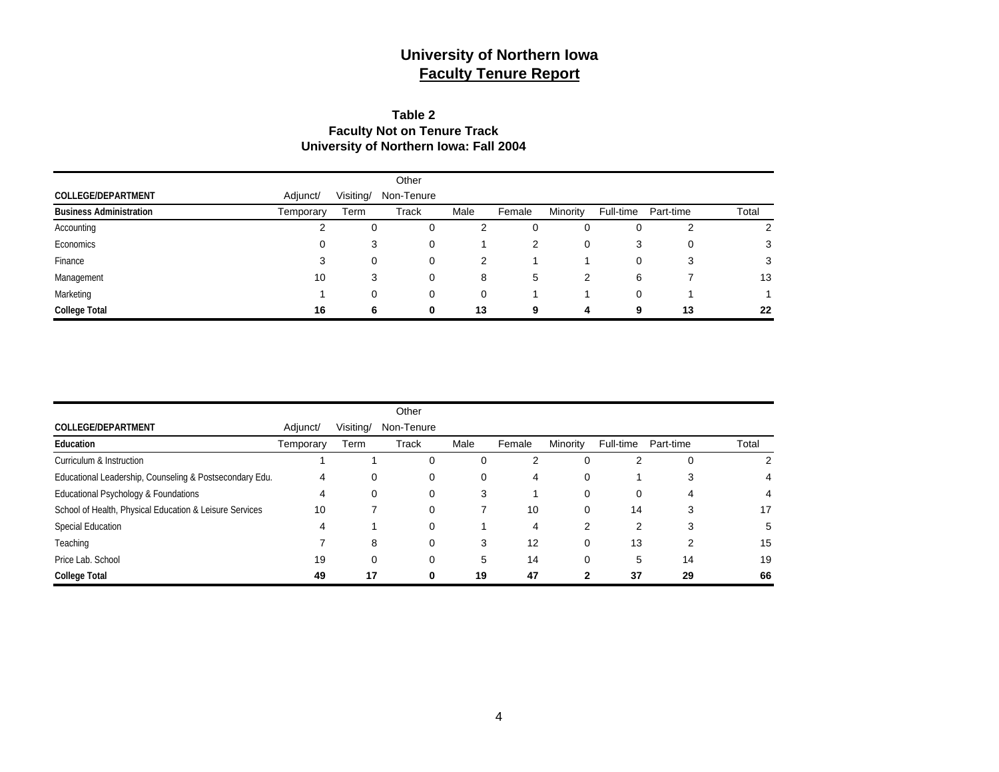### **Table 2 Faculty Not on Tenure Track University of Northern Iowa: Fall 2004**

|                                |           |           | Other        |      |        |          |           |           |       |
|--------------------------------|-----------|-----------|--------------|------|--------|----------|-----------|-----------|-------|
| <b>COLLEGE/DEPARTMENT</b>      | Adjunct/  | Visiting/ | Non-Tenure   |      |        |          |           |           |       |
| <b>Business Administration</b> | Temporary | Term      | <b>Track</b> | Male | Female | Minority | Full-time | Part-time | Total |
| Accounting                     | ◠         | 0         | 0            |      | 0      | 0        | 0         | 2         | 2     |
| Economics                      | 0         | 3         | 0            |      | 2      |          | 3         |           | 3     |
| Finance                        | 3         | 0         | 0            |      |        |          | 0         | 3         | 3     |
| Management                     | 10        | 3         | 0            | 8    | 5      | 2        | 6         |           | 13    |
| Marketing                      |           | 0         | 0            |      |        |          | 0         |           |       |
| <b>College Total</b>           | 16        | 6         | 0            | 13   | 9      | 4        | 9         | 13        | 22    |

|                                                         |           |           | Other      |          |        |          |           |           |       |
|---------------------------------------------------------|-----------|-----------|------------|----------|--------|----------|-----------|-----------|-------|
| COLLEGE/DEPARTMENT                                      | Adjunct/  | Visiting/ | Non-Tenure |          |        |          |           |           |       |
| Education                                               | Temporary | Term      | Track      | Male     | Female | Minority | Full-time | Part-time | Total |
| Curriculum & Instruction                                |           |           | . ա        | $\Omega$ | 2      |          |           | 0         | 2     |
| Educational Leadership, Counseling & Postsecondary Edu. | 4         | 0         | 0          | 0        | 4      | 0        |           | 3         |       |
| Educational Psychology & Foundations                    | 4         |           | 0          | 3        |        | 0        | 0         |           | 4     |
| School of Health, Physical Education & Leisure Services | 10        |           | 0          |          | 10     | 0        | 14        | 3         | 17    |
| Special Education                                       | 4         |           | $\Omega$   |          | 4      | 2        | 2         | 3         | 5     |
| Teaching                                                |           | 8         | $\Omega$   | 3        | 12     | 0        | 13        | າ         | 15    |
| Price Lab. School                                       | 19        |           |            | 5        | 14     |          | 5         | 14        | 19    |
| <b>College Total</b>                                    | 49        | 17        |            | 19       | 47     | 2        | 37        | 29        | 66    |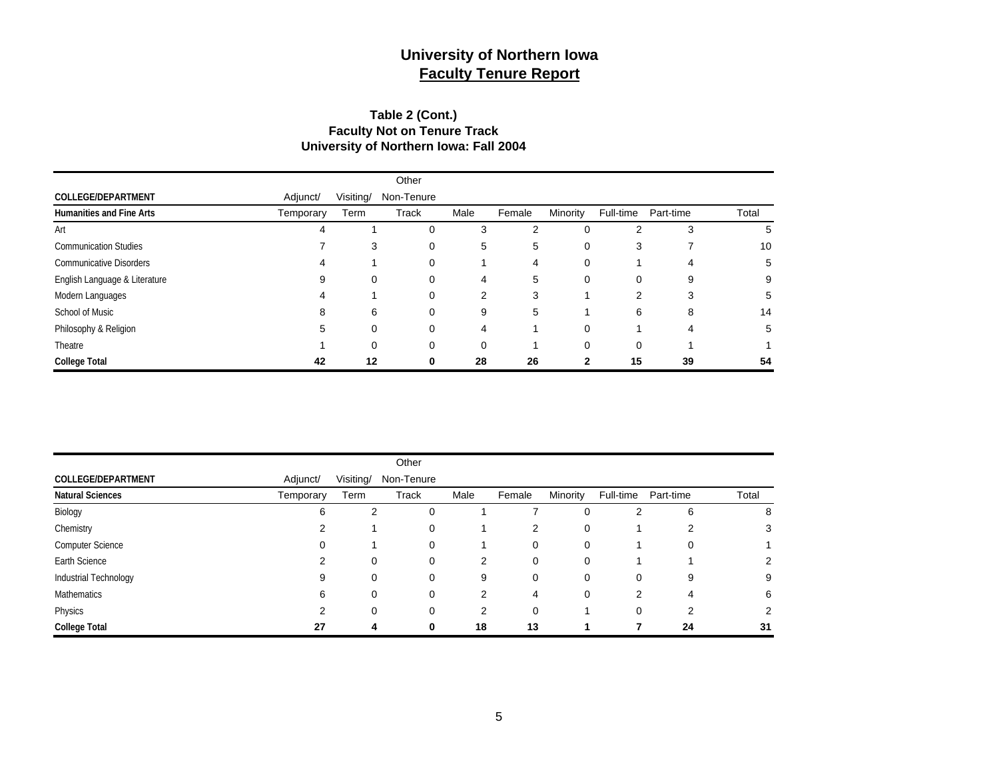#### **Table 2 (Cont.) Faculty Not on Tenure Track University of Northern Iowa: Fall 2004**

|                                 |           |           | Other        |                |        |          |           |           |       |
|---------------------------------|-----------|-----------|--------------|----------------|--------|----------|-----------|-----------|-------|
| <b>COLLEGE/DEPARTMENT</b>       | Adjunct/  | Visiting/ | Non-Tenure   |                |        |          |           |           |       |
| <b>Humanities and Fine Arts</b> | Temporary | Term      | <b>Track</b> | Male           | Female | Minority | Full-time | Part-time | Total |
| Art                             |           |           |              | 3              | 2      | 0        | 2         | 3         | 5     |
| <b>Communication Studies</b>    |           | 3         | 0            | 5              | 5      | 0        | 3         |           | 10    |
| <b>Communicative Disorders</b>  |           |           | 0            |                | 4      | 0        |           |           | 5     |
| English Language & Literature   |           | 0         | 0            | 4              | 5      | 0        | 0         | 9         | 9     |
| Modern Languages                |           |           | 0            | $\overline{2}$ | 3      |          |           | 3         | 5     |
| School of Music                 | 8         | 6         | 0            | 9              | 5      |          | 6         | 8         | 14    |
| Philosophy & Religion           | 5         | 0         | 0            | 4              |        | 0        |           | 4         | 5     |
| Theatre                         |           | 0         |              |                |        | $\Omega$ |           |           |       |
| <b>College Total</b>            | 42        | 12        |              | 28             | 26     |          | 15        | 39        | 54    |

|                           |           |           | Other        |      |        |          |           |           |       |
|---------------------------|-----------|-----------|--------------|------|--------|----------|-----------|-----------|-------|
| <b>COLLEGE/DEPARTMENT</b> | Adjunct/  | Visiting/ | Non-Tenure   |      |        |          |           |           |       |
| <b>Natural Sciences</b>   | Temporary | Term      | <b>Track</b> | Male | Female | Minority | Full-time | Part-time | Total |
| Biology                   | 6         | 2         | 0            |      |        | 0        | 2         | 6         | 8     |
| Chemistry                 | 2         |           | 0            |      | 2      | 0        |           | 2         |       |
| Computer Science          | 0         |           | $\Omega$     |      | 0      | 0        |           | 0         |       |
| Earth Science             | 2         | 0         | 0            | 2    | 0      | 0        |           |           |       |
| Industrial Technology     | 9         | 0         | 0            | 9    | 0      | 0        | 0         | 9         |       |
| <b>Mathematics</b>        | 6         | 0         | 0            | 2    | 4      | 0        | 2         | 4         | 6     |
| Physics                   | 2         | 0         | $\Omega$     | 2    | 0      |          | 0         | 2         |       |
| <b>College Total</b>      | 27        | -4        | $\bf{0}$     | 18   | 13     |          |           | 24        | 31    |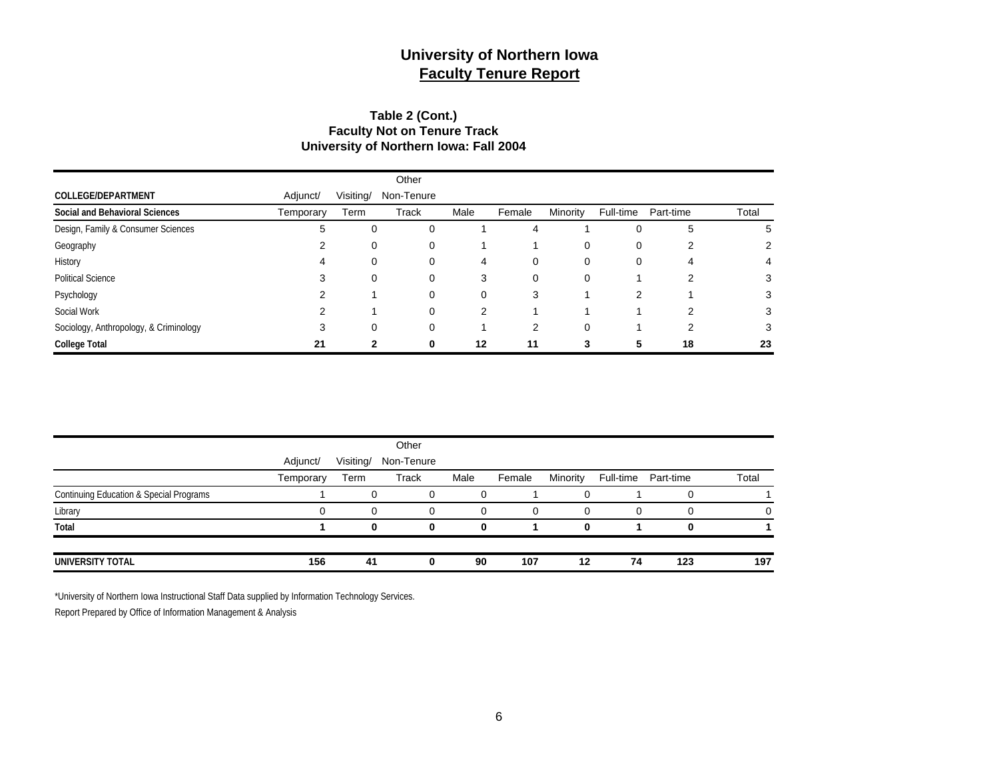#### **Table 2 (Cont.) Faculty Not on Tenure Track University of Northern Iowa: Fall 2004**

|                                        |           |           | Other      |                |        |          |           |           |       |
|----------------------------------------|-----------|-----------|------------|----------------|--------|----------|-----------|-----------|-------|
| <b>COLLEGE/DEPARTMENT</b>              | Adjunct/  | Visiting/ | Non-Tenure |                |        |          |           |           |       |
| Social and Behavioral Sciences         | Temporary | Term      | Track      | Male           | Female | Minority | Full-time | Part-time | Total |
| Design, Family & Consumer Sciences     | 5         | 0         | 0          |                | 4      |          | 0         | 5         | 5     |
| Geography                              |           | 0         | 0          |                |        | 0        | 0         | 2         | 2     |
| History                                | 4         | 0         | 0          | 4              | 0      | 0        | 0         | 4         | 4     |
| <b>Political Science</b>               | 3         | 0         | $\Omega$   | 3              | 0      | 0        |           | ົ         | 3     |
| Psychology                             |           |           | 0          | 0              | 3      |          | 2         |           | 3     |
| Social Work                            |           |           | $\Omega$   | $\overline{2}$ |        |          |           | ົ         | 3     |
| Sociology, Anthropology, & Criminology | 3         | $\Omega$  | $\Omega$   |                | 2      | $\Omega$ |           | 2         | 3     |
| <b>College Total</b>                   | 21        | 2         | 0          | 12             | 11     | 3        | 5         | 18        | 23    |

|                                                    |           |           | Other      |      |        |          |           |           |       |
|----------------------------------------------------|-----------|-----------|------------|------|--------|----------|-----------|-----------|-------|
|                                                    | Adjunct/  | Visiting/ | Non-Tenure |      |        |          |           |           |       |
|                                                    | Temporary | Term      | Track      | Male | Female | Minority | Full-time | Part-time | Total |
| <b>Continuing Education &amp; Special Programs</b> |           |           |            | 0    |        |          |           |           |       |
| Library                                            |           | 0         | $\Omega$   | 0    | 0      |          | $\Omega$  |           | 0     |
| Total                                              |           | n         | 0          | 0    |        |          |           |           |       |
| UNIVERSITY TOTAL                                   | 156       | 41        |            | 90   | 107    | 12       | 74        | 123       | 197   |

\*University of Northern Iowa Instructional Staff Data supplied by Information Technology Services.

Report Prepared by Office of Information Management & Analysis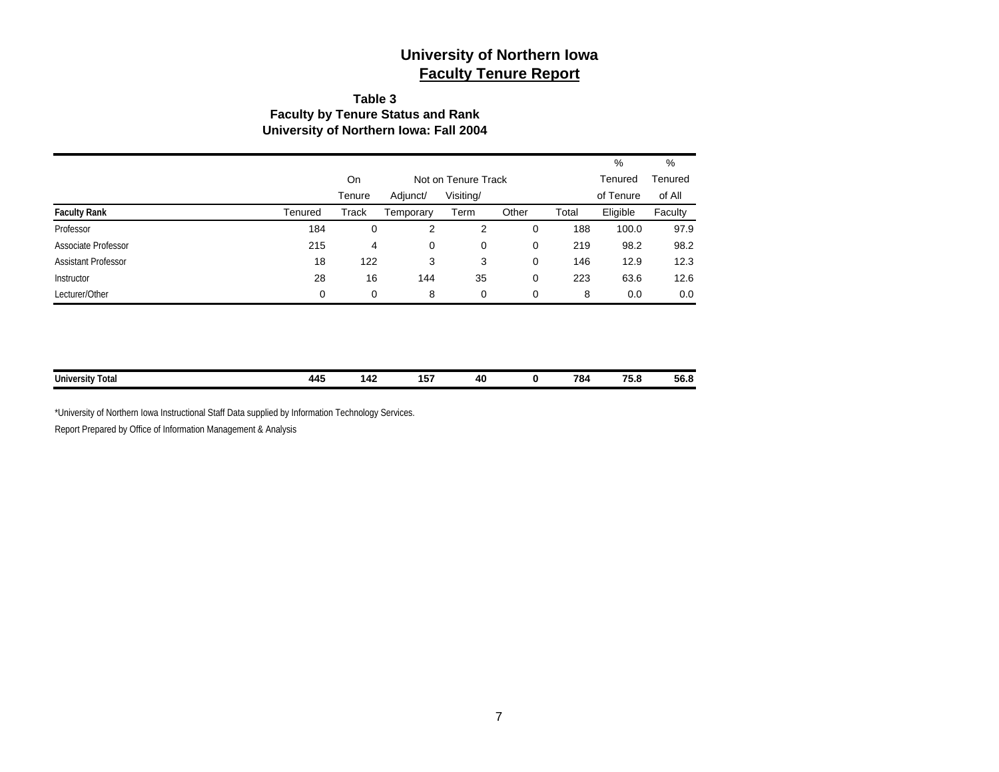#### **Table 3 Faculty by Tenure Status and Rank University of Northern Iowa: Fall 2004**

|                            |         |        |                     |           |       |         | %         | %       |
|----------------------------|---------|--------|---------------------|-----------|-------|---------|-----------|---------|
|                            |         | On     | Not on Tenure Track |           |       | Tenured | Tenured   |         |
|                            |         | Tenure | Adjunct/            | Visiting/ |       |         | of Tenure | of All  |
| <b>Faculty Rank</b>        | Tenured | Track  | Temporary           | Term      | Other | Total   | Eligible  | Faculty |
| Professor                  | 184     | 0      | 2                   | 2         | 0     | 188     | 100.0     | 97.9    |
| Associate Professor        | 215     | 4      | 0                   | 0         | 0     | 219     | 98.2      | 98.2    |
| <b>Assistant Professor</b> | 18      | 122    | 3                   | 3         | 0     | 146     | 12.9      | 12.3    |
| Instructor                 | 28      | 16     | 144                 | 35        | 0     | 223     | 63.6      | 12.6    |
| Lecturer/Other             | 0       | 0      | 8                   | 0         | 0     | 8       | 0.0       | 0.0     |

| <b>University Total</b><br>. | $\bullet$<br>44.<br>$\sim$ | . | .<br>$  -$ | л<br><br>__ | 784<br>____ | --<br>--<br>◡<br>---- | __<br>ენ.შ |
|------------------------------|----------------------------|---|------------|-------------|-------------|-----------------------|------------|
|                              |                            |   |            |             |             |                       |            |

\*University of Northern Iowa Instructional Staff Data supplied by Information Technology Services. Report Prepared by Office of Information Management & Analysis